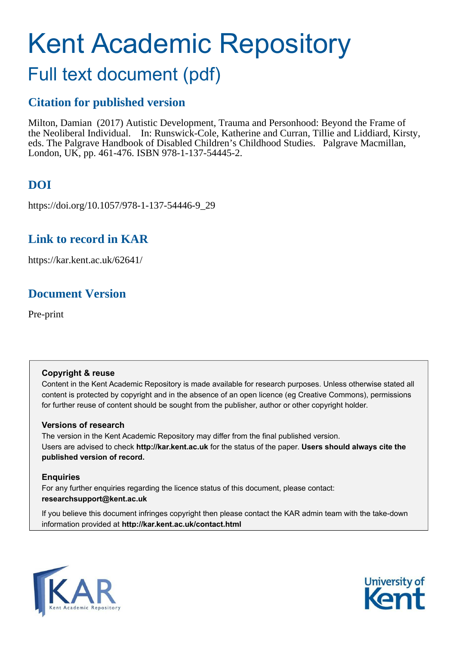# Kent Academic Repository

## Full text document (pdf)

## **Citation for published version**

Milton, Damian (2017) Autistic Development, Trauma and Personhood: Beyond the Frame of the Neoliberal Individual. In: Runswick-Cole, Katherine and Curran, Tillie and Liddiard, Kirsty, eds. The Palgrave Handbook of Disabled Children's Childhood Studies. Palgrave Macmillan, London, UK, pp. 461-476. ISBN 978-1-137-54445-2.

## **DOI**

https://doi.org/10.1057/978-1-137-54446-9\_29

## **Link to record in KAR**

https://kar.kent.ac.uk/62641/

## **Document Version**

Pre-print

#### **Copyright & reuse**

Content in the Kent Academic Repository is made available for research purposes. Unless otherwise stated all content is protected by copyright and in the absence of an open licence (eg Creative Commons), permissions for further reuse of content should be sought from the publisher, author or other copyright holder.

#### **Versions of research**

The version in the Kent Academic Repository may differ from the final published version. Users are advised to check **http://kar.kent.ac.uk** for the status of the paper. **Users should always cite the published version of record.**

#### **Enquiries**

For any further enquiries regarding the licence status of this document, please contact: **researchsupport@kent.ac.uk**

If you believe this document infringes copyright then please contact the KAR admin team with the take-down information provided at **http://kar.kent.ac.uk/contact.html**



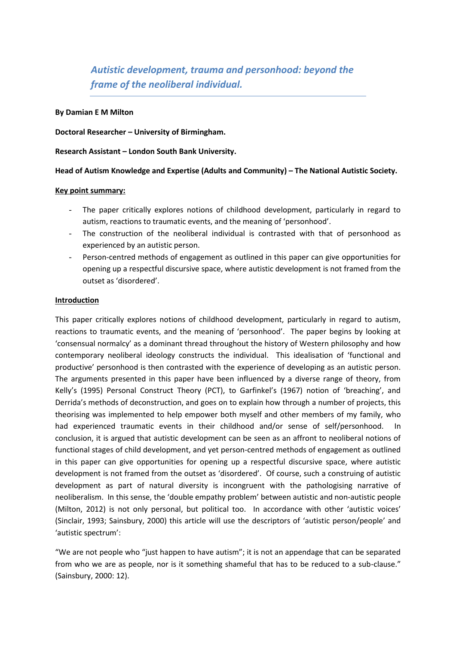*Autistic development, trauma and personhood: beyond the frame of the neoliberal individual.* 

**By Damian E M Milton** 

**Doctoral Researcher - University of Birmingham.** 

**Research Assistant - London South Bank University.** 

#### **Head of Autism Knowledge and Expertise (Adults and Community) – The National Autistic Society.**

#### **Key point summary:**

- The paper critically explores notions of childhood development, particularly in regard to autism, reactions to traumatic events, and the meaning of 'personhood'.
- The construction of the neoliberal individual is contrasted with that of personhood as experienced by an autistic person.
- Person-centred methods of engagement as outlined in this paper can give opportunities for opening up a respectful discursive space, where autistic development is not framed from the outset as 'disordered'.

#### **Introduction**

This paper critically explores notions of childhood development, particularly in regard to autism, reactions to traumatic events, and the meaning of 'personhood'. The paper begins by looking at 'consensual normalcy' as a dominant thread throughout the history of Western philosophy and how contemporary neoliberal ideology constructs the individual. This idealisation of 'functional and productive' personhood is then contrasted with the experience of developing as an autistic person. The arguments presented in this paper have been influenced by a diverse range of theory, from Kelly's (1995) Personal Construct Theory (PCT), to Garfinkel's (1967) notion of 'breaching', and Derrida's methods of deconstruction, and goes on to explain how through a number of projects, this theorising was implemented to help empower both myself and other members of my family, who had experienced traumatic events in their childhood and/or sense of self/personhood. In conclusion, it is argued that autistic development can be seen as an affront to neoliberal notions of functional stages of child development, and yet person-centred methods of engagement as outlined in this paper can give opportunities for opening up a respectful discursive space, where autistic development is not framed from the outset as 'disordered'. Of course, such a construing of autistic development as part of natural diversity is incongruent with the pathologising narrative of neoliberalism. In this sense, the 'double empathy problem' between autistic and non-autistic people (Milton, 2012) is not only personal, but political too. In accordance with other 'autistic voices' (Sinclair, 1993; Sainsbury, 2000) this article will use the descriptors of 'autistic person/people' and 'autistic spectrum':

"We are not people who "just happen to have autism"; it is not an appendage that can be separated from who we are as people, nor is it something shameful that has to be reduced to a sub-clause." (Sainsbury, 2000: 12).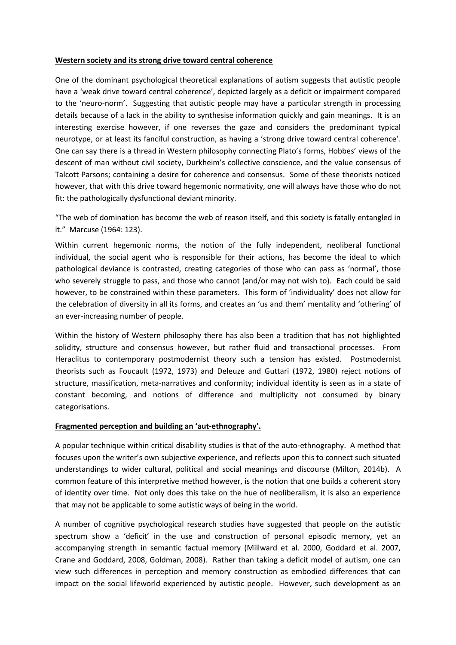#### **Western society and its strong drive toward central coherence**

One of the dominant psychological theoretical explanations of autism suggests that autistic people have a 'weak drive toward central coherence', depicted largely as a deficit or impairment compared to the 'neuro-norm'. Suggesting that autistic people may have a particular strength in processing details because of a lack in the ability to synthesise information quickly and gain meanings. It is an interesting exercise however, if one reverses the gaze and considers the predominant typical neurotype, or at least its fanciful construction, as having a 'strong drive toward central coherence'. One can say there is a thread in Western philosophy connecting Plato's forms, Hobbes' views of the descent of man without civil society, Durkheim's collective conscience, and the value consensus of Talcott Parsons; containing a desire for coherence and consensus. Some of these theorists noticed however, that with this drive toward hegemonic normativity, one will always have those who do not fit: the pathologically dysfunctional deviant minority.

"The web of domination has become the web of reason itself, and this society is fatally entangled in it." Marcuse (1964: 123).

Within current hegemonic norms, the notion of the fully independent, neoliberal functional individual, the social agent who is responsible for their actions, has become the ideal to which pathological deviance is contrasted, creating categories of those who can pass as 'normal', those who severely struggle to pass, and those who cannot (and/or may not wish to). Each could be said however, to be constrained within these parameters. This form of 'individuality' does not allow for the celebration of diversity in all its forms, and creates an 'us and them' mentality and 'othering' of an ever-increasing number of people.

Within the history of Western philosophy there has also been a tradition that has not highlighted solidity, structure and consensus however, but rather fluid and transactional processes. From Heraclitus to contemporary postmodernist theory such a tension has existed. Postmodernist theorists such as Foucault (1972, 1973) and Deleuze and Guttari (1972, 1980) reject notions of structure, massification, meta-narratives and conformity; individual identity is seen as in a state of constant becoming, and notions of difference and multiplicity not consumed by binary categorisations.

#### **Fragmented perception and building an 'aut-ethnography'.**

A popular technique within critical disability studies is that of the auto-ethnography. A method that focuses upon the writer's own subjective experience, and reflects upon this to connect such situated understandings to wider cultural, political and social meanings and discourse (Milton, 2014b). A common feature of this interpretive method however, is the notion that one builds a coherent story of identity over time. Not only does this take on the hue of neoliberalism, it is also an experience that may not be applicable to some autistic ways of being in the world.

A number of cognitive psychological research studies have suggested that people on the autistic spectrum show a 'deficit' in the use and construction of personal episodic memory, yet an accompanying strength in semantic factual memory (Millward et al. 2000, Goddard et al. 2007, Crane and Goddard, 2008, Goldman, 2008). Rather than taking a deficit model of autism, one can view such differences in perception and memory construction as embodied differences that can impact on the social lifeworld experienced by autistic people. However, such development as an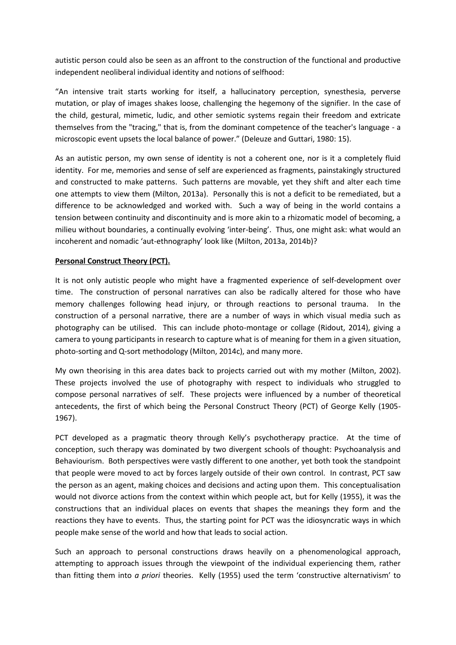autistic person could also be seen as an affront to the construction of the functional and productive independent neoliberal individual identity and notions of selfhood:

"An intensive trait starts working for itself, a hallucinatory perception, synesthesia, perverse mutation, or play of images shakes loose, challenging the hegemony of the signifier. In the case of the child, gestural, mimetic, ludic, and other semiotic systems regain their freedom and extricate themselves from the "tracing," that is, from the dominant competence of the teacher's language - a microscopic event upsets the local balance of power." (Deleuze and Guttari, 1980: 15).

As an autistic person, my own sense of identity is not a coherent one, nor is it a completely fluid identity. For me, memories and sense of self are experienced as fragments, painstakingly structured and constructed to make patterns. Such patterns are movable, yet they shift and alter each time one attempts to view them (Milton, 2013a). Personally this is not a deficit to be remediated, but a difference to be acknowledged and worked with. Such a way of being in the world contains a tension between continuity and discontinuity and is more akin to a rhizomatic model of becoming, a milieu without boundaries, a continually evolving 'inter-being'. Thus, one might ask: what would an incoherent and nomadic 'aut-ethnography' look like (Milton, 2013a, 2014b)?

#### **Personal Construct Theory (PCT).**

It is not only autistic people who might have a fragmented experience of self-development over time. The construction of personal narratives can also be radically altered for those who have memory challenges following head injury, or through reactions to personal trauma. In the construction of a personal narrative, there are a number of ways in which visual media such as photography can be utilised. This can include photo-montage or collage (Ridout, 2014), giving a camera to young participants in research to capture what is of meaning for them in a given situation, photo-sorting and Q-sort methodology (Milton, 2014c), and many more.

My own theorising in this area dates back to projects carried out with my mother (Milton, 2002). These projects involved the use of photography with respect to individuals who struggled to compose personal narratives of self. These projects were influenced by a number of theoretical antecedents, the first of which being the Personal Construct Theory (PCT) of George Kelly (1905- 1967).

PCT developed as a pragmatic theory through Kelly's psychotherapy practice. At the time of conception, such therapy was dominated by two divergent schools of thought: Psychoanalysis and Behaviourism. Both perspectives were vastly different to one another, yet both took the standpoint that people were moved to act by forces largely outside of their own control. In contrast, PCT saw the person as an agent, making choices and decisions and acting upon them. This conceptualisation would not divorce actions from the context within which people act, but for Kelly (1955), it was the constructions that an individual places on events that shapes the meanings they form and the reactions they have to events. Thus, the starting point for PCT was the idiosyncratic ways in which people make sense of the world and how that leads to social action.

Such an approach to personal constructions draws heavily on a phenomenological approach, attempting to approach issues through the viewpoint of the individual experiencing them, rather than fitting them into *a priori* theories. Kelly (1955) used the term 'constructive alternativism' to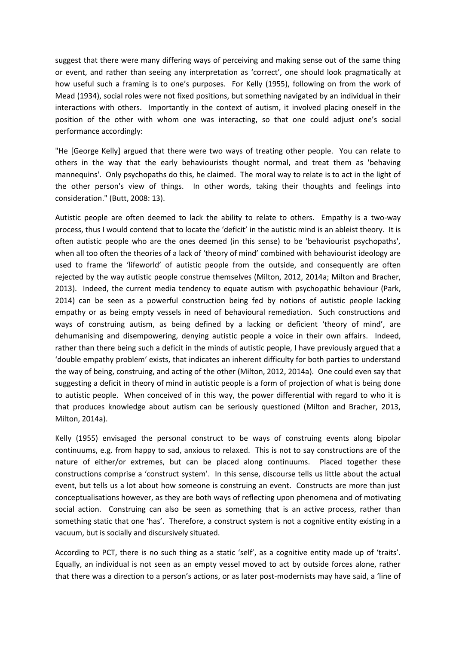suggest that there were many differing ways of perceiving and making sense out of the same thing or event, and rather than seeing any interpretation as 'correct', one should look pragmatically at how useful such a framing is to one's purposes. For Kelly (1955), following on from the work of Mead (1934), social roles were not fixed positions, but something navigated by an individual in their interactions with others. Importantly in the context of autism, it involved placing oneself in the position of the other with whom one was interacting, so that one could adjust one's social performance accordingly:

"He [George Kelly] argued that there were two ways of treating other people. You can relate to others in the way that the early behaviourists thought normal, and treat them as 'behaving mannequins'. Only psychopaths do this, he claimed. The moral way to relate is to act in the light of the other person's view of things. In other words, taking their thoughts and feelings into consideration." (Butt, 2008: 13).

Autistic people are often deemed to lack the ability to relate to others. Empathy is a two-way process, thus I would contend that to locate the 'deficit' in the autistic mind is an ableist theory. It is often autistic people who are the ones deemed (in this sense) to be 'behaviourist psychopaths', when all too often the theories of a lack of 'theory of mind' combined with behaviourist ideology are used to frame the 'lifeworld' of autistic people from the outside, and consequently are often rejected by the way autistic people construe themselves (Milton, 2012, 2014a; Milton and Bracher, 2013). Indeed, the current media tendency to equate autism with psychopathic behaviour (Park, 2014) can be seen as a powerful construction being fed by notions of autistic people lacking empathy or as being empty vessels in need of behavioural remediation. Such constructions and ways of construing autism, as being defined by a lacking or deficient 'theory of mind', are dehumanising and disempowering, denying autistic people a voice in their own affairs. Indeed, rather than there being such a deficit in the minds of autistic people, I have previously argued that a 'double empathy problem' exists, that indicates an inherent difficulty for both parties to understand the way of being, construing, and acting of the other (Milton, 2012, 2014a). One could even say that suggesting a deficit in theory of mind in autistic people is a form of projection of what is being done to autistic people. When conceived of in this way, the power differential with regard to who it is that produces knowledge about autism can be seriously questioned (Milton and Bracher, 2013, Milton, 2014a).

Kelly (1955) envisaged the personal construct to be ways of construing events along bipolar continuums, e.g. from happy to sad, anxious to relaxed. This is not to say constructions are of the nature of either/or extremes, but can be placed along continuums. Placed together these constructions comprise a 'construct system'. In this sense, discourse tells us little about the actual event, but tells us a lot about how someone is construing an event. Constructs are more than just conceptualisations however, as they are both ways of reflecting upon phenomena and of motivating social action. Construing can also be seen as something that is an active process, rather than something static that one 'has'. Therefore, a construct system is not a cognitive entity existing in a vacuum, but is socially and discursively situated.

According to PCT, there is no such thing as a static 'self', as a cognitive entity made up of 'traits'. Equally, an individual is not seen as an empty vessel moved to act by outside forces alone, rather that there was a direction to a person's actions, or as later post-modernists may have said, a 'line of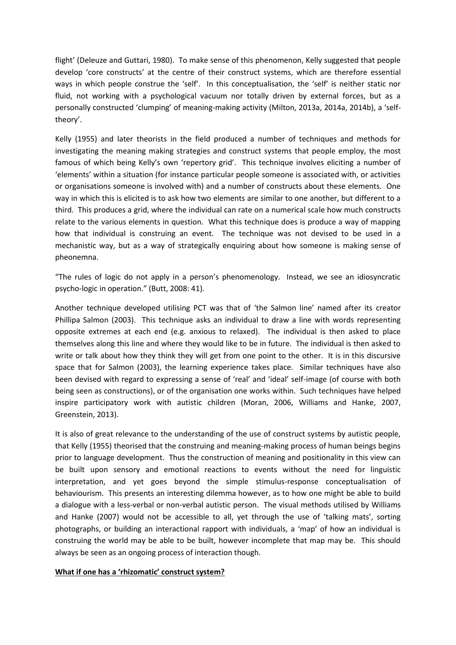flight' (Deleuze and Guttari, 1980). To make sense of this phenomenon, Kelly suggested that people develop 'core constructs' at the centre of their construct systems, which are therefore essential ways in which people construe the 'self'. In this conceptualisation, the 'self' is neither static nor fluid, not working with a psychological vacuum nor totally driven by external forces, but as a personally constructed 'clumping' of meaning-making activity (Milton, 2013a, 2014a, 2014b), a 'selftheory'.

Kelly (1955) and later theorists in the field produced a number of techniques and methods for investigating the meaning making strategies and construct systems that people employ, the most famous of which being Kelly's own 'repertory grid'. This technique involves eliciting a number of 'elements' within a situation (for instance particular people someone is associated with, or activities or organisations someone is involved with) and a number of constructs about these elements. One way in which this is elicited is to ask how two elements are similar to one another, but different to a third. This produces a grid, where the individual can rate on a numerical scale how much constructs relate to the various elements in question. What this technique does is produce a way of mapping how that individual is construing an event. The technique was not devised to be used in a mechanistic way, but as a way of strategically enquiring about how someone is making sense of pheonemna.

"The rules of logic do not apply in a person's phenomenology. Instead, we see an idiosyncratic psycho-logic in operation." (Butt, 2008: 41).

Another technique developed utilising PCT was that of 'the Salmon line' named after its creator Phillipa Salmon (2003). This technique asks an individual to draw a line with words representing opposite extremes at each end (e.g. anxious to relaxed). The individual is then asked to place themselves along this line and where they would like to be in future. The individual is then asked to write or talk about how they think they will get from one point to the other. It is in this discursive space that for Salmon (2003), the learning experience takes place. Similar techniques have also been devised with regard to expressing a sense of 'real' and 'ideal' self-image (of course with both being seen as constructions), or of the organisation one works within. Such techniques have helped inspire participatory work with autistic children (Moran, 2006, Williams and Hanke, 2007, Greenstein, 2013).

It is also of great relevance to the understanding of the use of construct systems by autistic people, that Kelly (1955) theorised that the construing and meaning-making process of human beings begins prior to language development. Thus the construction of meaning and positionality in this view can be built upon sensory and emotional reactions to events without the need for linguistic interpretation, and yet goes beyond the simple stimulus-response conceptualisation of behaviourism. This presents an interesting dilemma however, as to how one might be able to build a dialogue with a less-verbal or non-verbal autistic person. The visual methods utilised by Williams and Hanke (2007) would not be accessible to all, yet through the use of 'talking mats', sorting photographs, or building an interactional rapport with individuals, a 'map' of how an individual is construing the world may be able to be built, however incomplete that map may be. This should always be seen as an ongoing process of interaction though.

#### **What if one has a 'rhizomatic' construct system?**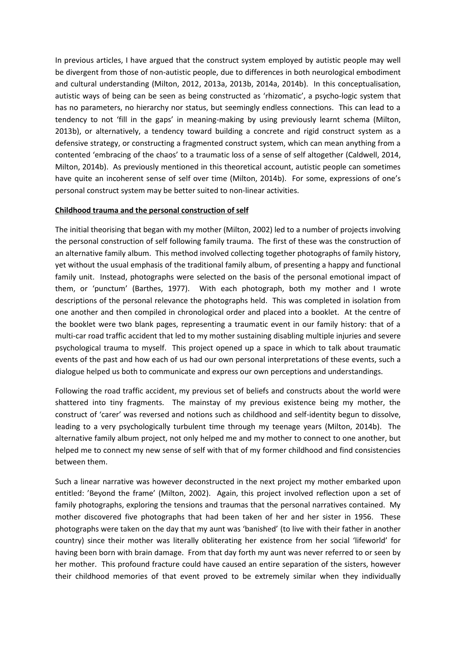In previous articles, I have argued that the construct system employed by autistic people may well be divergent from those of non-autistic people, due to differences in both neurological embodiment and cultural understanding (Milton, 2012, 2013a, 2013b, 2014a, 2014b). In this conceptualisation, autistic ways of being can be seen as being constructed as 'rhizomatic', a psycho-logic system that has no parameters, no hierarchy nor status, but seemingly endless connections. This can lead to a tendency to not 'fill in the gaps' in meaning-making by using previously learnt schema (Milton, 2013b), or alternatively, a tendency toward building a concrete and rigid construct system as a defensive strategy, or constructing a fragmented construct system, which can mean anything from a contented 'embracing of the chaos' to a traumatic loss of a sense of self altogether (Caldwell, 2014, Milton, 2014b). As previously mentioned in this theoretical account, autistic people can sometimes have quite an incoherent sense of self over time (Milton, 2014b). For some, expressions of one's personal construct system may be better suited to non-linear activities.

#### **Childhood trauma and the personal construction of self**

The initial theorising that began with my mother (Milton, 2002) led to a number of projects involving the personal construction of self following family trauma. The first of these was the construction of an alternative family album. This method involved collecting together photographs of family history, yet without the usual emphasis of the traditional family album, of presenting a happy and functional family unit. Instead, photographs were selected on the basis of the personal emotional impact of them, or 'punctum' (Barthes, 1977). With each photograph, both my mother and I wrote descriptions of the personal relevance the photographs held. This was completed in isolation from one another and then compiled in chronological order and placed into a booklet. At the centre of the booklet were two blank pages, representing a traumatic event in our family history: that of a multi-car road traffic accident that led to my mother sustaining disabling multiple injuries and severe psychological trauma to myself. This project opened up a space in which to talk about traumatic events of the past and how each of us had our own personal interpretations of these events, such a dialogue helped us both to communicate and express our own perceptions and understandings.

Following the road traffic accident, my previous set of beliefs and constructs about the world were shattered into tiny fragments. The mainstay of my previous existence being my mother, the construct of 'carer' was reversed and notions such as childhood and self-identity begun to dissolve, leading to a very psychologically turbulent time through my teenage years (Milton, 2014b). The alternative family album project, not only helped me and my mother to connect to one another, but helped me to connect my new sense of self with that of my former childhood and find consistencies between them.

Such a linear narrative was however deconstructed in the next project my mother embarked upon entitled: 'Beyond the frame' (Milton, 2002). Again, this project involved reflection upon a set of family photographs, exploring the tensions and traumas that the personal narratives contained. My mother discovered five photographs that had been taken of her and her sister in 1956. These photographs were taken on the day that my aunt was 'banished' (to live with their father in another country) since their mother was literally obliterating her existence from her social 'lifeworld' for having been born with brain damage. From that day forth my aunt was never referred to or seen by her mother. This profound fracture could have caused an entire separation of the sisters, however their childhood memories of that event proved to be extremely similar when they individually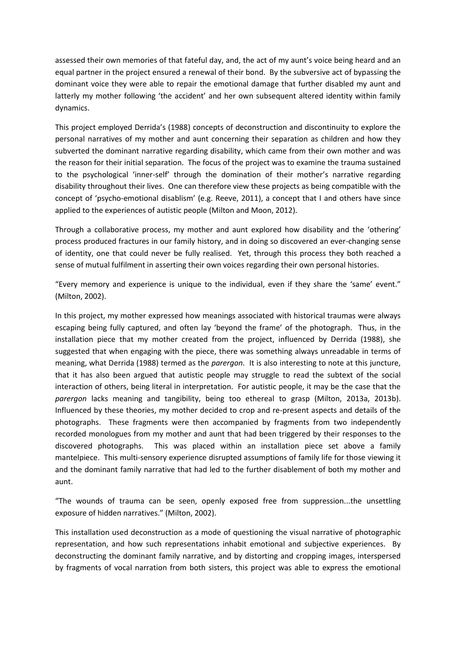assessed their own memories of that fateful day, and, the act of my aunt's voice being heard and an equal partner in the project ensured a renewal of their bond. By the subversive act of bypassing the dominant voice they were able to repair the emotional damage that further disabled my aunt and latterly my mother following 'the accident' and her own subsequent altered identity within family dynamics.

This project employed Derrida's (1988) concepts of deconstruction and discontinuity to explore the personal narratives of my mother and aunt concerning their separation as children and how they subverted the dominant narrative regarding disability, which came from their own mother and was the reason for their initial separation. The focus of the project was to examine the trauma sustained to the psychological 'inner-self' through the domination of their mother's narrative regarding disability throughout their lives. One can therefore view these projects as being compatible with the concept of 'psycho-emotional disablism' (e.g. Reeve, 2011), a concept that I and others have since applied to the experiences of autistic people (Milton and Moon, 2012).

Through a collaborative process, my mother and aunt explored how disability and the 'othering' process produced fractures in our family history, and in doing so discovered an ever-changing sense of identity, one that could never be fully realised. Yet, through this process they both reached a sense of mutual fulfilment in asserting their own voices regarding their own personal histories.

"Every memory and experience is unique to the individual, even if they share the 'same' event." (Milton, 2002).

In this project, my mother expressed how meanings associated with historical traumas were always escaping being fully captured, and often lay 'beyond the frame' of the photograph. Thus, in the installation piece that my mother created from the project, influenced by Derrida (1988), she suggested that when engaging with the piece, there was something always unreadable in terms of meaning, what Derrida (1988) termed as the *parergon*. It is also interesting to note at this juncture, that it has also been argued that autistic people may struggle to read the subtext of the social interaction of others, being literal in interpretation. For autistic people, it may be the case that the *parergon* lacks meaning and tangibility, being too ethereal to grasp (Milton, 2013a, 2013b). Influenced by these theories, my mother decided to crop and re-present aspects and details of the photographs. These fragments were then accompanied by fragments from two independently recorded monologues from my mother and aunt that had been triggered by their responses to the discovered photographs. This was placed within an installation piece set above a family mantelpiece. This multi-sensory experience disrupted assumptions of family life for those viewing it and the dominant family narrative that had led to the further disablement of both my mother and aunt.

"The wounds of trauma can be seen, openly exposed free from suppression...the unsettling exposure of hidden narratives." (Milton, 2002).

This installation used deconstruction as a mode of questioning the visual narrative of photographic representation, and how such representations inhabit emotional and subjective experiences. By deconstructing the dominant family narrative, and by distorting and cropping images, interspersed by fragments of vocal narration from both sisters, this project was able to express the emotional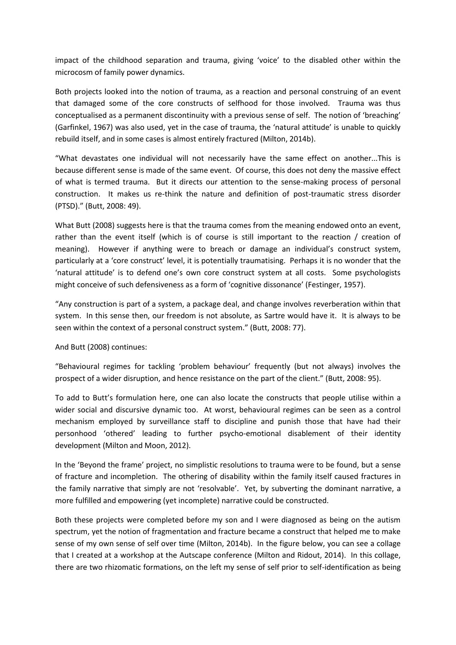impact of the childhood separation and trauma, giving 'voice' to the disabled other within the microcosm of family power dynamics.

Both projects looked into the notion of trauma, as a reaction and personal construing of an event that damaged some of the core constructs of selfhood for those involved. Trauma was thus conceptualised as a permanent discontinuity with a previous sense of self. The notion of 'breaching' (Garfinkel, 1967) was also used, yet in the case of trauma, the 'natural attitude' is unable to quickly rebuild itself, and in some cases is almost entirely fractured (Milton, 2014b).

"What devastates one individual will not necessarily have the same effect on another...This is because different sense is made of the same event. Of course, this does not deny the massive effect of what is termed trauma. But it directs our attention to the sense-making process of personal construction. It makes us re-think the nature and definition of post-traumatic stress disorder (PTSD)." (Butt, 2008: 49).

What Butt (2008) suggests here is that the trauma comes from the meaning endowed onto an event, rather than the event itself (which is of course is still important to the reaction / creation of meaning). However if anything were to breach or damage an individual's construct system. particularly at a 'core construct' level, it is potentially traumatising. Perhaps it is no wonder that the 'natural attitude' is to defend one's own core construct system at all costs. Some psychologists might conceive of such defensiveness as a form of 'cognitive dissonance' (Festinger, 1957).

"Any construction is part of a system, a package deal, and change involves reverberation within that system. In this sense then, our freedom is not absolute, as Sartre would have it. It is always to be seen within the context of a personal construct system." (Butt, 2008: 77).

And Butt (2008) continues:

"Behavioural regimes for tackling 'problem behaviour' frequently (but not always) involves the prospect of a wider disruption, and hence resistance on the part of the client." (Butt, 2008: 95).

To add to Butt's formulation here, one can also locate the constructs that people utilise within a wider social and discursive dynamic too. At worst, behavioural regimes can be seen as a control mechanism employed by surveillance staff to discipline and punish those that have had their personhood 'othered' leading to further psycho-emotional disablement of their identity development (Milton and Moon, 2012).

In the 'Beyond the frame' project, no simplistic resolutions to trauma were to be found, but a sense of fracture and incompletion. The othering of disability within the family itself caused fractures in the family narrative that simply are not 'resolvable'. Yet, by subverting the dominant narrative, a more fulfilled and empowering (yet incomplete) narrative could be constructed.

Both these projects were completed before my son and I were diagnosed as being on the autism spectrum, yet the notion of fragmentation and fracture became a construct that helped me to make sense of my own sense of self over time (Milton, 2014b). In the figure below, you can see a collage that I created at a workshop at the Autscape conference (Milton and Ridout, 2014). In this collage, there are two rhizomatic formations, on the left my sense of self prior to self-identification as being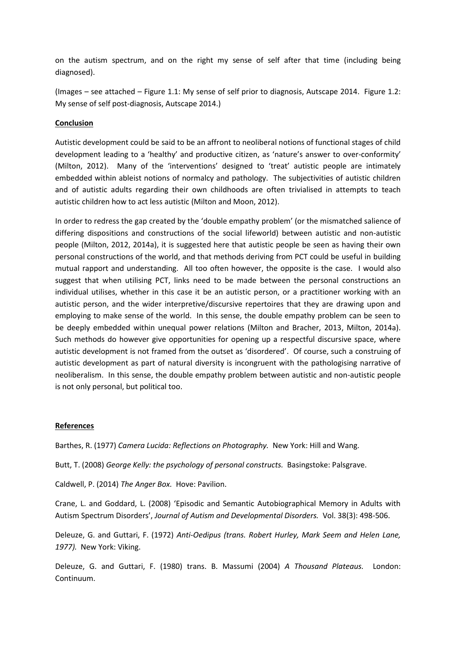on the autism spectrum, and on the right my sense of self after that time (including being diagnosed).

(Images  $-$  see attached  $-$  Figure 1.1: My sense of self prior to diagnosis, Autscape 2014. Figure 1.2: My sense of self post-diagnosis, Autscape 2014.)

#### **Conclusion**

Autistic development could be said to be an affront to neoliberal notions of functional stages of child development leading to a 'healthy' and productive citizen, as 'nature's answer to over-conformity' (Milton, 2012). Many of the 'interventions' designed to 'treat' autistic people are intimately embedded within ableist notions of normalcy and pathology. The subjectivities of autistic children and of autistic adults regarding their own childhoods are often trivialised in attempts to teach autistic children how to act less autistic (Milton and Moon, 2012).

In order to redress the gap created by the 'double empathy problem' (or the mismatched salience of differing dispositions and constructions of the social lifeworld) between autistic and non-autistic people (Milton, 2012, 2014a), it is suggested here that autistic people be seen as having their own personal constructions of the world, and that methods deriving from PCT could be useful in building mutual rapport and understanding. All too often however, the opposite is the case. I would also suggest that when utilising PCT, links need to be made between the personal constructions an individual utilises, whether in this case it be an autistic person, or a practitioner working with an autistic person, and the wider interpretive/discursive repertoires that they are drawing upon and employing to make sense of the world. In this sense, the double empathy problem can be seen to be deeply embedded within unequal power relations (Milton and Bracher, 2013, Milton, 2014a). Such methods do however give opportunities for opening up a respectful discursive space, where autistic development is not framed from the outset as 'disordered'. Of course, such a construing of autistic development as part of natural diversity is incongruent with the pathologising narrative of neoliberalism. In this sense, the double empathy problem between autistic and non-autistic people is not only personal, but political too.

#### **References**

Barthes, R. (1977) *Camera Lucida: Reflections on Photography.* New York: Hill and Wang.

Butt, T. (2008) *George Kelly: the psychology of personal constructs.* Basingstoke: Palsgrave.

Caldwell, P. (2014) *The Anger Box.* Hove: Pavilion.

Crane, L. and Goddard, L. (2008) 'Episodic and Semantic Autobiographical Memory in Adults with Autism Spectrum Disorders', Journal of Autism and Developmental Disorders. Vol. 38(3): 498-506.

Deleuze, G. and Guttari, F. (1972) *Anti-Oedipus (trans. Robert Hurley, Mark Seem and Helen Lane, 1977).* New York: Viking.

Deleuze, G. and Guttari, F. (1980) trans. B. Massumi (2004) *A Thousand Plateaus.* London: Continuum.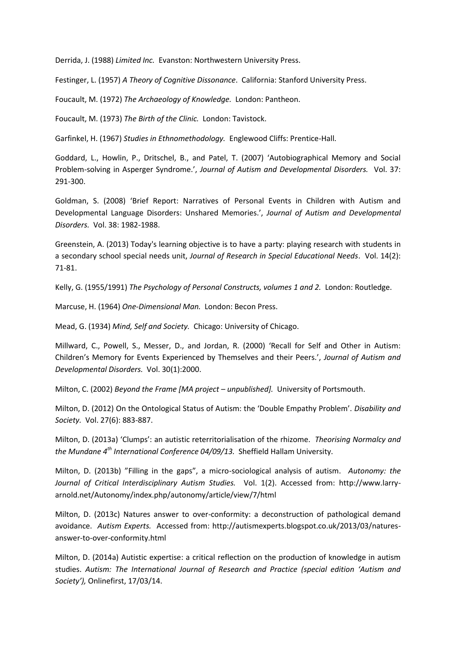Derrida, J. (1988) *Limited Inc.* Evanston: Northwestern University Press.

Festinger, L. (1957) *A Theory of Cognitive Dissonance*. California: Stanford University Press.

Foucault, M. (1972) *The Archaeology of Knowledge.* London: Pantheon.

Foucault, M. (1973) *The Birth of the Clinic.* London: Tavistock.

Garfinkel, H. (1967) *Studies in Ethnomethodology.* Englewood Cliffs: Prentice-Hall.

Goddard, L., Howlin, P., Dritschel, B., and Patel, T. (2007) 'Autobiographical Memory and Social Problem-solving in Asperger Syndrome.', *Journal of Autism and Developmental Disorders.* Vol. 37: 291-300.

Goldman, S. (2008) 'Brief Report: Narratives of Personal Events in Children with Autism and Developmental Language Disorders: Unshared Memories.', Journal of Autism and Developmental *Disorders.* Vol. 38: 1982-1988.

Greenstein, A. (2013) Today's learning objective is to have a party: playing research with students in a secondary school special needs unit, *Journal of Research in Special Educational Needs*. Vol. 14(2): 71-81.

Kelly, G. (1955/1991) *The Psychology of Personal Constructs, volumes 1 and 2.* London: Routledge.

Marcuse, H. (1964) *One-Dimensional Man.* London: Becon Press.

Mead, G. (1934) *Mind, Self and Society.* Chicago: University of Chicago.

Millward, C., Powell, S., Messer, D., and Jordan, R. (2000) 'Recall for Self and Other in Autism: Children's Memory for Events Experienced by Themselves and their Peers.', Journal of Autism and *Developmental Disorders.* Vol. 30(1):2000.

*Milton, C. (2002) Beyond the Frame [MA project - unpublished].* University of Portsmouth.

Milton, D. (2012) On the Ontological Status of Autism: the 'Double Empathy Problem'. Disability and *Society.* Vol. 27(6): 883-887.

Milton, D. (2013a) 'Clumps': an autistic reterritorialisation of the rhizome. *Theorising Normalcy and the Mundane 4th International Conference 04/09/13.* Sheffield Hallam University.

Milton, D. (2013b) "Filling in the gaps", a micro-sociological analysis of autism. Autonomy: the *Journal of Critical Interdisciplinary Autism Studies.* Vol. 1(2). Accessed from: http://www.larryarnold.net/Autonomy/index.php/autonomy/article/view/7/html

Milton, D. (2013c) Natures answer to over-conformity: a deconstruction of pathological demand avoidance. *Autism Experts.* Accessed from: http://autismexperts.blogspot.co.uk/2013/03/naturesanswer-to-over-conformity.html

Milton, D. (2014a) Autistic expertise: a critical reflection on the production of knowledge in autism studies. Autism: The International Journal of Research and Practice (special edition 'Autism and *Society')*, Onlinefirst, 17/03/14.